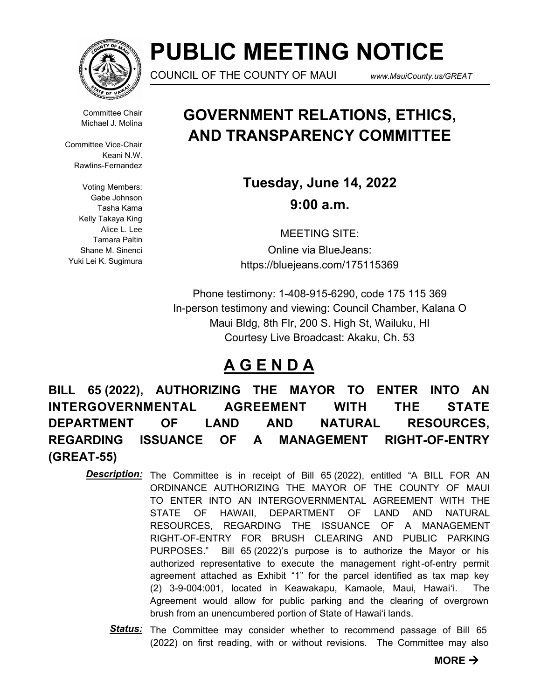

# **PUBLIC MEETING NOTICE**

COUNCIL OF THE COUNTY OF MAUI *www.MauiCounty.us/GREAT*

Committee Chair Michael J. Molina

Committee Vice-Chair Keani N.W. Rawlins-Fernandez

Voting Members: Gabe Johnson Tasha Kama Kelly Takaya King Alice L. Lee Tamara Paltin Shane M. Sinenci Yuki Lei K. Sugimura

## **GOVERNMENT RELATIONS, ETHICS, AND TRANSPARENCY COMMITTEE**

**Tuesday, June 14, 2022 9:00 a.m.**

MEETING SITE: Online via BlueJeans: https://bluejeans.com/175115369

Phone testimony: 1-408-915-6290, code 175 115 369 In-person testimony and viewing: Council Chamber, Kalana O Maui Bldg, 8th Flr, 200 S. High St, Wailuku, HI Courtesy Live Broadcast: Akaku, Ch. 53

### **A G E N D A**

**BILL 65 (2022), AUTHORIZING THE MAYOR TO ENTER INTO AN INTERGOVERNMENTAL AGREEMENT WITH THE STATE DEPARTMENT OF LAND AND NATURAL RESOURCES, REGARDING ISSUANCE OF A MANAGEMENT RIGHT-OF-ENTRY (GREAT-55)**

**Description:** The Committee is in receipt of Bill 65 (2022), entitled "A BILL FOR AN ORDINANCE AUTHORIZING THE MAYOR OF THE COUNTY OF MAUI TO ENTER INTO AN INTERGOVERNMENTAL AGREEMENT WITH THE STATE OF HAWAII, DEPARTMENT OF LAND AND NATURAL RESOURCES, REGARDING THE ISSUANCE OF A MANAGEMENT RIGHT-OF-ENTRY FOR BRUSH CLEARING AND PUBLIC PARKING PURPOSES." Bill 65 (2022)'s purpose is to authorize the Mayor or his authorized representative to execute the management right-of-entry permit agreement attached as Exhibit "1" for the parcel identified as tax map key (2) 3-9-004:001, located in Keawakapu, Kamaole, Maui, Hawai'i. The Agreement would allow for public parking and the clearing of overgrown brush from an unencumbered portion of State of Hawai'i lands.

Status: The Committee may consider whether to recommend passage of Bill 65 (2022) on first reading, with or without revisions. The Committee may also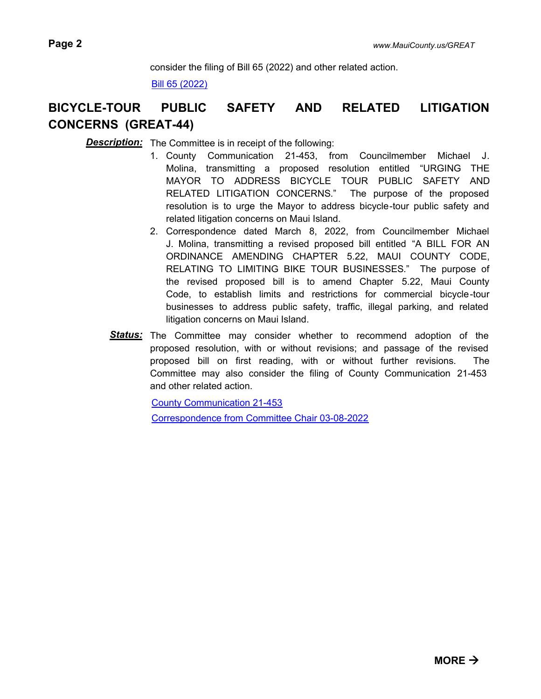consider the filing of Bill 65 (2022) and other related action.

[Bill 65 \(2022\)](http://mauicounty.legistar.com/gateway.aspx?M=F&ID=1a0dee75-585e-44c6-9191-5b22a96b0ec6.pdf)

### **BICYCLE-TOUR PUBLIC SAFETY AND RELATED LITIGATION CONCERNS (GREAT-44)**

**Description:** The Committee is in receipt of the following:

- 1. County Communication 21-453, from Councilmember Michael J. Molina, transmitting a proposed resolution entitled "URGING THE MAYOR TO ADDRESS BICYCLE TOUR PUBLIC SAFETY AND RELATED LITIGATION CONCERNS." The purpose of the proposed resolution is to urge the Mayor to address bicycle-tour public safety and related litigation concerns on Maui Island.
- 2. Correspondence dated March 8, 2022, from Councilmember Michael J. Molina, transmitting a revised proposed bill entitled "A BILL FOR AN ORDINANCE AMENDING CHAPTER 5.22, MAUI COUNTY CODE, RELATING TO LIMITING BIKE TOUR BUSINESSES." The purpose of the revised proposed bill is to amend Chapter 5.22, Maui County Code, to establish limits and restrictions for commercial bicycle-tour businesses to address public safety, traffic, illegal parking, and related litigation concerns on Maui Island.
- Status: The Committee may consider whether to recommend adoption of the proposed resolution, with or without revisions; and passage of the revised proposed bill on first reading, with or without further revisions. The Committee may also consider the filing of County Communication 21-453 and other related action.

[County Communication 21-453](http://mauicounty.legistar.com/gateway.aspx?M=F&ID=954b0909-4592-4407-a445-2d18d05edbaf.pdf)

[Correspondence from Committee Chair 03-08-2022](http://mauicounty.legistar.com/gateway.aspx?M=F&ID=580d141d-e945-40d4-89aa-acb3e27ae3c3.pdf)